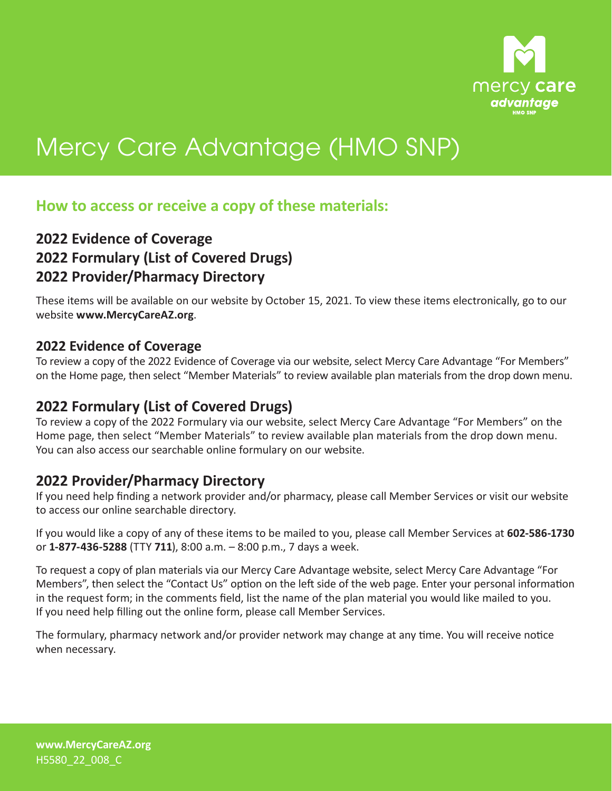

# Mercy Care Advantage (HMO SNP)

## **How to access or receive a copy of these materials:**

## **2022 Evidence of Coverage 2022 Formulary (List of Covered Drugs) 2022 Provider/Pharmacy Directory**

These items will be available on our website by October 15, 2021. To view these items electronically, go to our website **www.MercyCareAZ.org**.

### **2022 Evidence of Coverage**

To review a copy of the 2022 Evidence of Coverage via our website, select Mercy Care Advantage "For Members" on the Home page, then select "Member Materials" to review available plan materials from the drop down menu.

## **2022 Formulary (List of Covered Drugs)**

To review a copy of the 2022 Formulary via our website, select Mercy Care Advantage "For Members" on the Home page, then select "Member Materials" to review available plan materials from the drop down menu. You can also access our searchable online formulary on our website.

## **2022 Provider/Pharmacy Directory**

If you need help finding a network provider and/or pharmacy, please call Member Services or visit our website to access our online searchable directory.

If you would like a copy of any of these items to be mailed to you, please call Member Services at **602‑586‑1730**  or **1‑877‑436‑5288** (TTY **711**), 8:00 a.m. – 8:00 p.m., 7 days a week.

To request a copy of plan materials via our Mercy Care Advantage website, select Mercy Care Advantage "For Members", then select the "Contact Us" option on the left side of the web page. Enter your personal information in the request form; in the comments field, list the name of the plan material you would like mailed to you. If you need help filling out the online form, please call Member Services.

The formulary, pharmacy network and/or provider network may change at any time. You will receive notice when necessary.